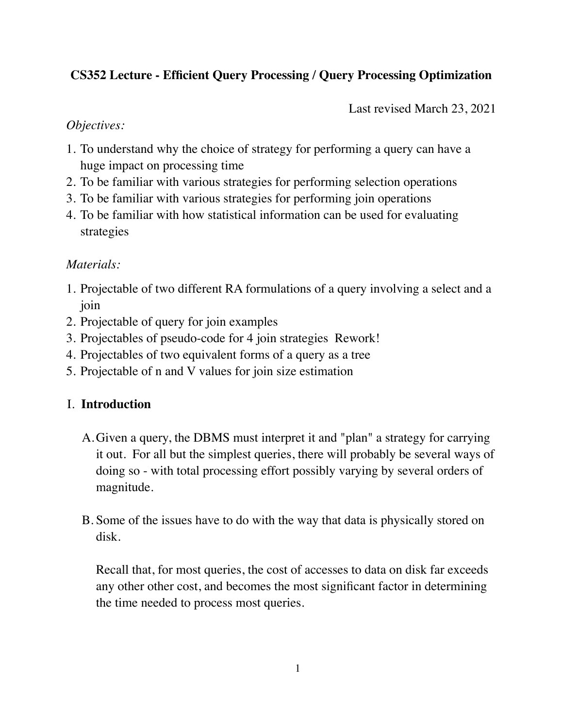# **CS352 Lecture - Efficient Query Processing / Query Processing Optimization**

Last revised March 23, 2021

### *Objectives:*

- 1. To understand why the choice of strategy for performing a query can have a huge impact on processing time
- 2. To be familiar with various strategies for performing selection operations
- 3. To be familiar with various strategies for performing join operations
- 4. To be familiar with how statistical information can be used for evaluating strategies

## *Materials:*

- 1. Projectable of two different RA formulations of a query involving a select and a join
- 2. Projectable of query for join examples
- 3. Projectables of pseudo-code for 4 join strategies Rework!
- 4. Projectables of two equivalent forms of a query as a tree
- 5. Projectable of n and V values for join size estimation

## I. **Introduction**

- A.Given a query, the DBMS must interpret it and "plan" a strategy for carrying it out. For all but the simplest queries, there will probably be several ways of doing so - with total processing effort possibly varying by several orders of magnitude.
- B. Some of the issues have to do with the way that data is physically stored on disk.

Recall that, for most queries, the cost of accesses to data on disk far exceeds any other other cost, and becomes the most significant factor in determining the time needed to process most queries.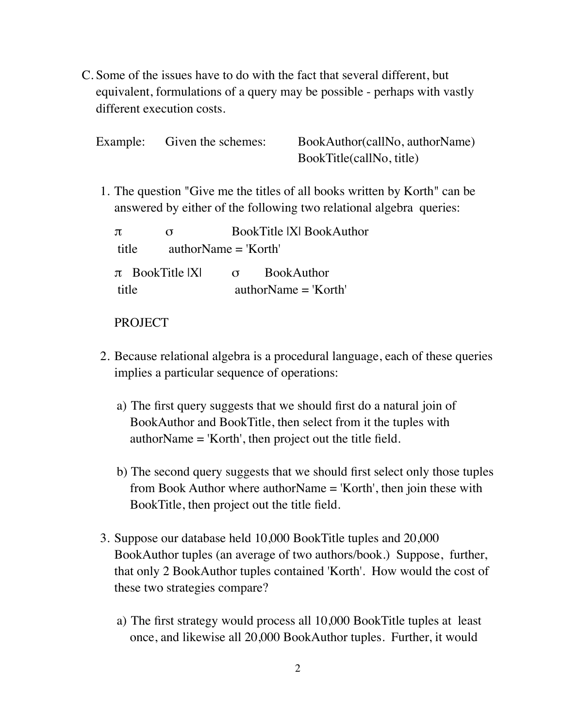C. Some of the issues have to do with the fact that several different, but equivalent, formulations of a query may be possible - perhaps with vastly different execution costs.

| Example: Given the schemes: | BookAuthor(callNo, authorName) |
|-----------------------------|--------------------------------|
|                             | BookTitle(callNo, title)       |

1. The question "Give me the titles of all books written by Korth" can be answered by either of the following two relational algebra queries:

| $\pi$                           | σ                   | <b>BookTitle IXI BookAuthor</b> |                                             |  |
|---------------------------------|---------------------|---------------------------------|---------------------------------------------|--|
| title<br>authorName $=$ 'Korth' |                     |                                 |                                             |  |
| title                           | $\pi$ BookTitle IXI | $\sigma$                        | <b>BookAuthor</b><br>$authorName = 'Korth'$ |  |
|                                 |                     |                                 |                                             |  |

### PROJECT

- 2. Because relational algebra is a procedural language, each of these queries implies a particular sequence of operations:
	- a) The first query suggests that we should first do a natural join of BookAuthor and BookTitle, then select from it the tuples with authorName = 'Korth', then project out the title field.
	- b) The second query suggests that we should first select only those tuples from Book Author where authorName = 'Korth', then join these with BookTitle, then project out the title field.
- 3. Suppose our database held 10,000 BookTitle tuples and 20,000 BookAuthor tuples (an average of two authors/book.) Suppose, further, that only 2 BookAuthor tuples contained 'Korth'. How would the cost of these two strategies compare?
	- a) The first strategy would process all 10,000 BookTitle tuples at least once, and likewise all 20,000 BookAuthor tuples. Further, it would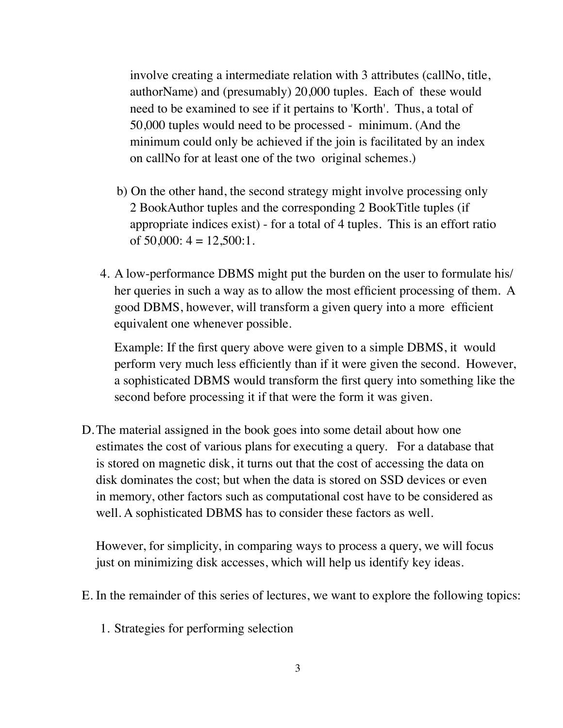involve creating a intermediate relation with 3 attributes (callNo, title, authorName) and (presumably) 20,000 tuples. Each of these would need to be examined to see if it pertains to 'Korth'. Thus, a total of 50,000 tuples would need to be processed - minimum. (And the minimum could only be achieved if the join is facilitated by an index on callNo for at least one of the two original schemes.)

- b) On the other hand, the second strategy might involve processing only 2 BookAuthor tuples and the corresponding 2 BookTitle tuples (if appropriate indices exist) - for a total of 4 tuples. This is an effort ratio of  $50,000$ :  $4 = 12,500$ : 1.
- 4. A low-performance DBMS might put the burden on the user to formulate his/ her queries in such a way as to allow the most efficient processing of them. A good DBMS, however, will transform a given query into a more efficient equivalent one whenever possible.

Example: If the first query above were given to a simple DBMS, it would perform very much less efficiently than if it were given the second. However, a sophisticated DBMS would transform the first query into something like the second before processing it if that were the form it was given.

D.The material assigned in the book goes into some detail about how one estimates the cost of various plans for executing a query. For a database that is stored on magnetic disk, it turns out that the cost of accessing the data on disk dominates the cost; but when the data is stored on SSD devices or even in memory, other factors such as computational cost have to be considered as well. A sophisticated DBMS has to consider these factors as well.

However, for simplicity, in comparing ways to process a query, we will focus just on minimizing disk accesses, which will help us identify key ideas.

- E. In the remainder of this series of lectures, we want to explore the following topics:
	- 1. Strategies for performing selection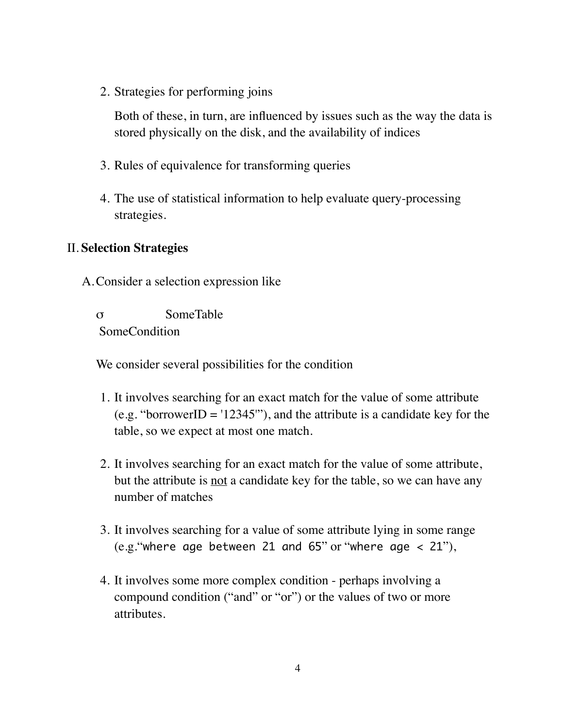2. Strategies for performing joins

Both of these, in turn, are influenced by issues such as the way the data is stored physically on the disk, and the availability of indices

- 3. Rules of equivalence for transforming queries
- 4. The use of statistical information to help evaluate query-processing strategies.

## II. **Selection Strategies**

A.Consider a selection expression like

σ SomeTable SomeCondition

We consider several possibilities for the condition

- 1. It involves searching for an exact match for the value of some attribute (e.g. "borrowerID = '12345'"), and the attribute is a candidate key for the table, so we expect at most one match.
- 2. It involves searching for an exact match for the value of some attribute, but the attribute is not a candidate key for the table, so we can have any number of matches
- 3. It involves searching for a value of some attribute lying in some range (e.g."where age between 21 and 65" or "where age  $<$  21"),
- 4. It involves some more complex condition perhaps involving a compound condition ("and" or "or") or the values of two or more attributes.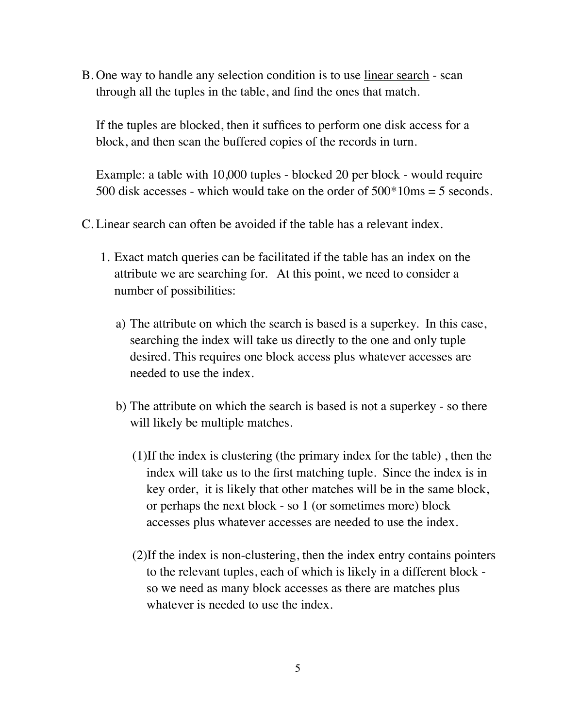B. One way to handle any selection condition is to use linear search - scan through all the tuples in the table, and find the ones that match.

If the tuples are blocked, then it suffices to perform one disk access for a block, and then scan the buffered copies of the records in turn.

Example: a table with 10,000 tuples - blocked 20 per block - would require 500 disk accesses - which would take on the order of  $500*10\text{ms} = 5$  seconds.

- C. Linear search can often be avoided if the table has a relevant index.
	- 1. Exact match queries can be facilitated if the table has an index on the attribute we are searching for. At this point, we need to consider a number of possibilities:
		- a) The attribute on which the search is based is a superkey. In this case, searching the index will take us directly to the one and only tuple desired. This requires one block access plus whatever accesses are needed to use the index.
		- b) The attribute on which the search is based is not a superkey so there will likely be multiple matches.
			- (1)If the index is clustering (the primary index for the table) , then the index will take us to the first matching tuple. Since the index is in key order, it is likely that other matches will be in the same block, or perhaps the next block - so 1 (or sometimes more) block accesses plus whatever accesses are needed to use the index.
			- (2)If the index is non-clustering, then the index entry contains pointers to the relevant tuples, each of which is likely in a different block so we need as many block accesses as there are matches plus whatever is needed to use the index.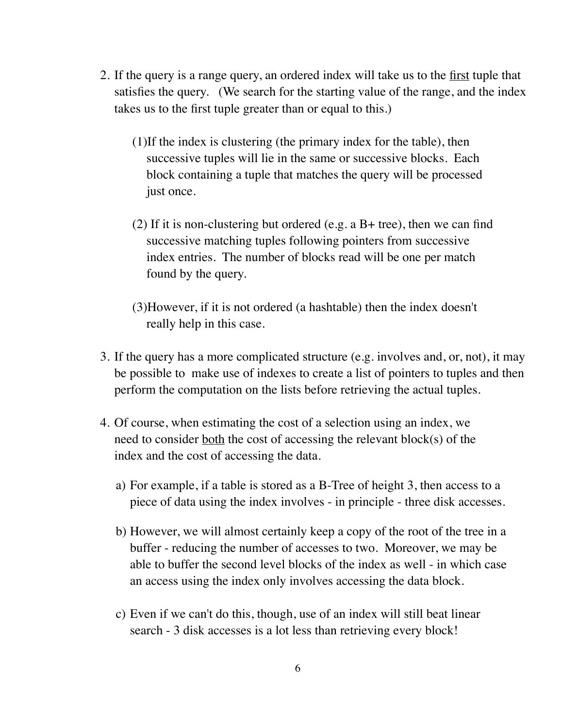- 2. If the query is a range query, an ordered index will take us to the first tuple that satisfies the query. (We search for the starting value of the range, and the index takes us to the first tuple greater than or equal to this.)
	- (1)If the index is clustering (the primary index for the table), then successive tuples will lie in the same or successive blocks. Each block containing a tuple that matches the query will be processed just once.
	- (2) If it is non-clustering but ordered (e.g. a  $B+$  tree), then we can find successive matching tuples following pointers from successive index entries. The number of blocks read will be one per match found by the query.
	- (3)However, if it is not ordered (a hashtable) then the index doesn't really help in this case.
- 3. If the query has a more complicated structure (e.g. involves and, or, not), it may be possible to make use of indexes to create a list of pointers to tuples and then perform the computation on the lists before retrieving the actual tuples.
- 4. Of course, when estimating the cost of a selection using an index, we need to consider both the cost of accessing the relevant block(s) of the index and the cost of accessing the data.
	- a) For example, if a table is stored as a B-Tree of height 3, then access to a piece of data using the index involves - in principle - three disk accesses.
	- b) However, we will almost certainly keep a copy of the root of the tree in a buffer - reducing the number of accesses to two. Moreover, we may be able to buffer the second level blocks of the index as well - in which case an access using the index only involves accessing the data block.
	- c) Even if we can't do this, though, use of an index will still beat linear search - 3 disk accesses is a lot less than retrieving every block!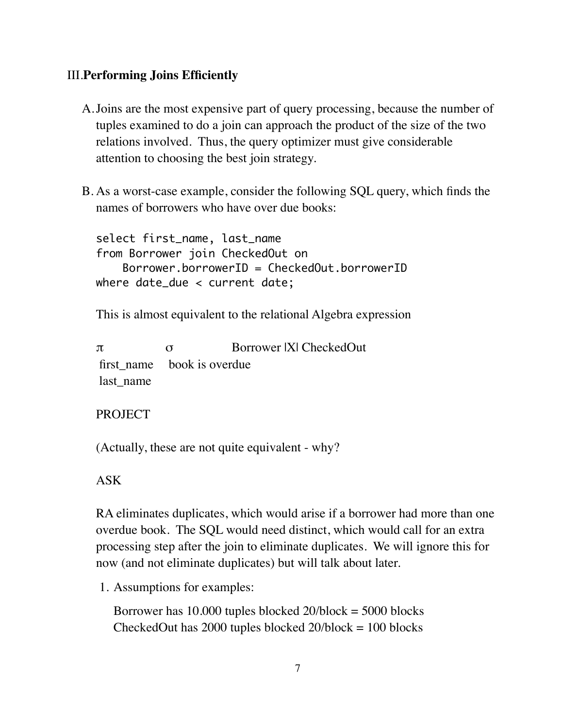### III.**Performing Joins Efficiently**

- A.Joins are the most expensive part of query processing, because the number of tuples examined to do a join can approach the product of the size of the two relations involved. Thus, the query optimizer must give considerable attention to choosing the best join strategy.
- B. As a worst-case example, consider the following SQL query, which finds the names of borrowers who have over due books:

select first\_name, last\_name from Borrower join CheckedOut on Borrower.borrowerID = CheckedOut.borrowerID where date\_due < current date;

This is almost equivalent to the relational Algebra expression

π σ Borrower |X| CheckedOut first name book is overdue last\_name

#### PROJECT

(Actually, these are not quite equivalent - why?

ASK

RA eliminates duplicates, which would arise if a borrower had more than one overdue book. The SQL would need distinct, which would call for an extra processing step after the join to eliminate duplicates. We will ignore this for now (and not eliminate duplicates) but will talk about later.

1. Assumptions for examples:

Borrower has 10.000 tuples blocked 20/block = 5000 blocks CheckedOut has  $2000$  tuples blocked  $20/block = 100$  blocks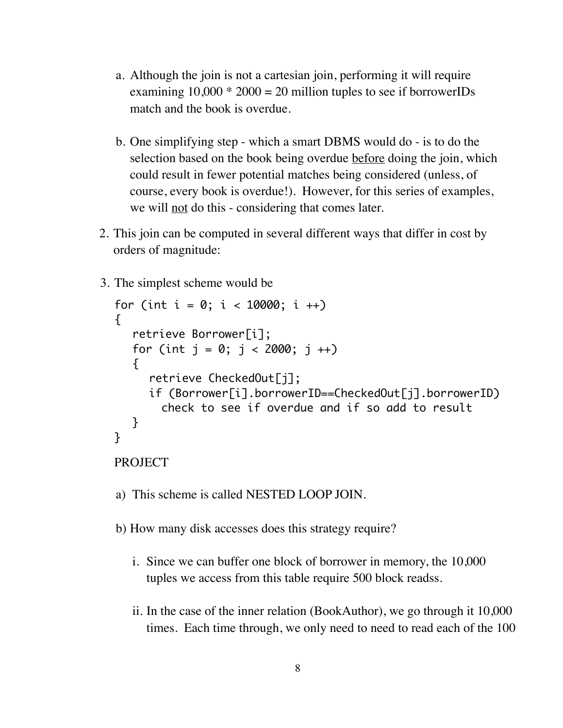- a. Although the join is not a cartesian join, performing it will require examining  $10,000 * 2000 = 20$  million tuples to see if borrowerIDs match and the book is overdue.
- b. One simplifying step which a smart DBMS would do is to do the selection based on the book being overdue before doing the join, which could result in fewer potential matches being considered (unless, of course, every book is overdue!). However, for this series of examples, we will not do this - considering that comes later.
- 2. This join can be computed in several different ways that differ in cost by orders of magnitude:
- 3. The simplest scheme would be

```
for (int i = 0; i < 10000; i +1)
\mathcal{L}retrieve Borrower[i];
   for (int j = 0; j < 2000; j + j)
   {
     retrieve CheckedOut[j];
     if (Borrower[i].borrowerID==CheckedOut[j].borrowerID)
       check to see if overdue and if so add to result
  }
}
```

```
PROJECT
```
- a) This scheme is called NESTED LOOP JOIN.
- b) How many disk accesses does this strategy require?
	- i. Since we can buffer one block of borrower in memory, the 10,000 tuples we access from this table require 500 block readss.
	- ii. In the case of the inner relation (BookAuthor), we go through it 10,000 times. Each time through, we only need to need to read each of the 100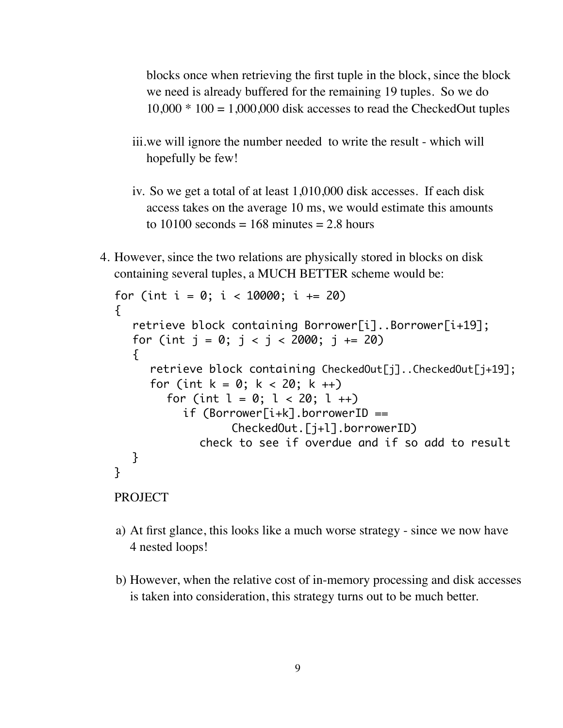blocks once when retrieving the first tuple in the block, since the block we need is already buffered for the remaining 19 tuples. So we do  $10,000 * 100 = 1,000,000$  disk accesses to read the CheckedOut tuples

- iii.we will ignore the number needed to write the result which will hopefully be few!
- iv. So we get a total of at least 1,010,000 disk accesses. If each disk access takes on the average 10 ms, we would estimate this amounts to 10100 seconds = 168 minutes = 2.8 hours
- 4. However, since the two relations are physically stored in blocks on disk containing several tuples, a MUCH BETTER scheme would be:

```
for (int i = 0; i < 10000; i \neq 20)
\{retrieve block containing Borrower[i]..Borrower[i+19];
  for (int j = 0; j < j < 2000; j == 20)
  \{retrieve block containing CheckedOut[j]..CheckedOut[j+19];
     for (int k = 0; k < 20; k +1)
        for (int l = 0; l < 20; l +1)
          if (Borrower[i+k].borrowerID ==
                  CheckedOut.[j+l].borrowerID)
             check to see if overdue and if so add to result
  }
}
PROJECT
```
- a) At first glance, this looks like a much worse strategy since we now have 4 nested loops!
- b) However, when the relative cost of in-memory processing and disk accesses is taken into consideration, this strategy turns out to be much better.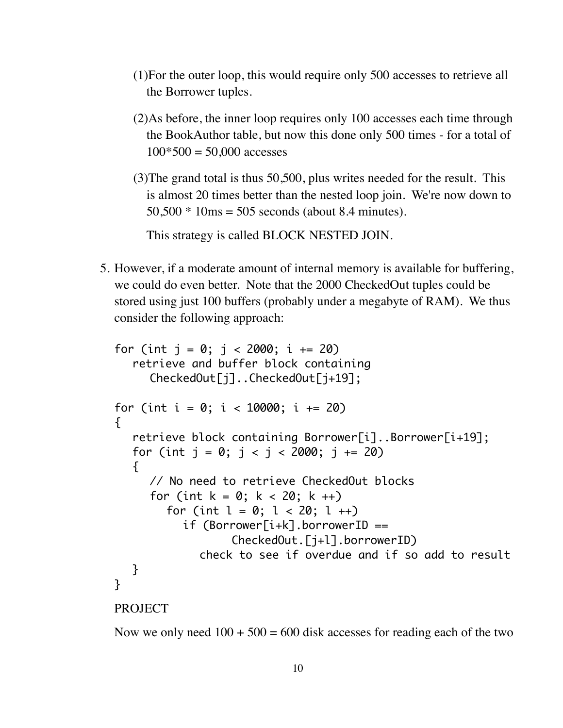- (1)For the outer loop, this would require only 500 accesses to retrieve all the Borrower tuples.
- (2)As before, the inner loop requires only 100 accesses each time through the BookAuthor table, but now this done only 500 times - for a total of  $100*500 = 50,000$  accesses
- (3)The grand total is thus 50,500, plus writes needed for the result. This is almost 20 times better than the nested loop join. We're now down to 50,500 \* 10ms = 505 seconds (about 8.4 minutes).

This strategy is called BLOCK NESTED JOIN.

5. However, if a moderate amount of internal memory is available for buffering, we could do even better. Note that the 2000 CheckedOut tuples could be stored using just 100 buffers (probably under a megabyte of RAM). We thus consider the following approach:

```
for (int j = 0; j < 2000; i == 20)
  retrieve and buffer block containing 
     CheckedOut[j]..CheckedOut[j+19];
for (int i = 0; i < 10000; i \neq 20)
{
  retrieve block containing Borrower[i]..Borrower[i+19];
  for (int j = 0; j < j < 2000; j == 20)
  \{// No need to retrieve CheckedOut blocks
     for (int k = 0; k < 20; k +1)
        for (int l = 0; l < 20; l +1)
          if (Borrower[i+k].borrowerID ==
                  CheckedOut.[j+l].borrowerID)
             check to see if overdue and if so add to result
  }
}
PROJECT
```
Now we only need  $100 + 500 = 600$  disk accesses for reading each of the two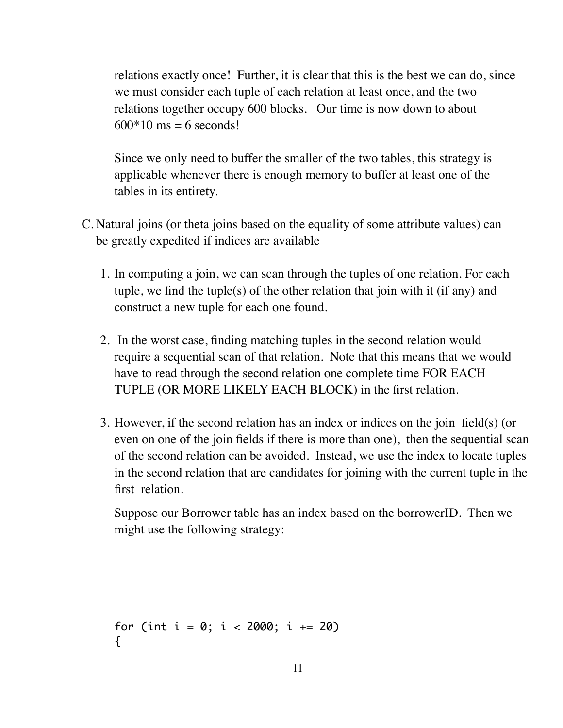relations exactly once! Further, it is clear that this is the best we can do, since we must consider each tuple of each relation at least once, and the two relations together occupy 600 blocks. Our time is now down to about  $600*10$  ms = 6 seconds!

Since we only need to buffer the smaller of the two tables, this strategy is applicable whenever there is enough memory to buffer at least one of the tables in its entirety.

- C. Natural joins (or theta joins based on the equality of some attribute values) can be greatly expedited if indices are available
	- 1. In computing a join, we can scan through the tuples of one relation. For each tuple, we find the tuple(s) of the other relation that join with it (if any) and construct a new tuple for each one found.
	- 2. In the worst case, finding matching tuples in the second relation would require a sequential scan of that relation. Note that this means that we would have to read through the second relation one complete time FOR EACH TUPLE (OR MORE LIKELY EACH BLOCK) in the first relation.
	- 3. However, if the second relation has an index or indices on the join field(s) (or even on one of the join fields if there is more than one), then the sequential scan of the second relation can be avoided. Instead, we use the index to locate tuples in the second relation that are candidates for joining with the current tuple in the first relation.

Suppose our Borrower table has an index based on the borrowerID. Then we might use the following strategy:

```
for (int i = 0; i < 2000; i == 20)
{
```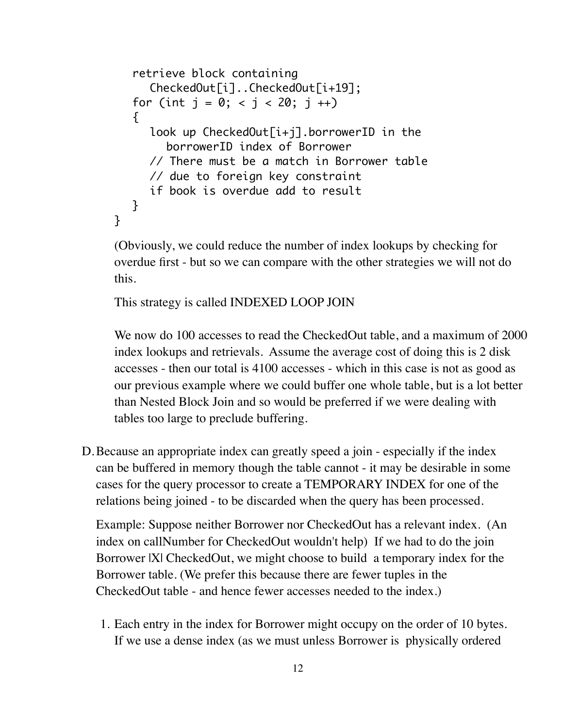```
retrieve block containing 
     CheckedOut[i]..CheckedOut[i+19];
  for (int j = 0; < j < 20; j +1)
   {
     look up CheckedOut[i+j].borrowerID in the
        borrowerID index of Borrower
     // There must be a match in Borrower table
     // due to foreign key constraint
     if book is overdue add to result
  }
}
```
(Obviously, we could reduce the number of index lookups by checking for overdue first - but so we can compare with the other strategies we will not do this.

```
This strategy is called INDEXED LOOP JOIN
```
We now do 100 accesses to read the CheckedOut table, and a maximum of 2000 index lookups and retrievals. Assume the average cost of doing this is 2 disk accesses - then our total is 4100 accesses - which in this case is not as good as our previous example where we could buffer one whole table, but is a lot better than Nested Block Join and so would be preferred if we were dealing with tables too large to preclude buffering.

D.Because an appropriate index can greatly speed a join - especially if the index can be buffered in memory though the table cannot - it may be desirable in some cases for the query processor to create a TEMPORARY INDEX for one of the relations being joined - to be discarded when the query has been processed.

Example: Suppose neither Borrower nor CheckedOut has a relevant index. (An index on callNumber for CheckedOut wouldn't help) If we had to do the join Borrower |X| CheckedOut, we might choose to build a temporary index for the Borrower table. (We prefer this because there are fewer tuples in the CheckedOut table - and hence fewer accesses needed to the index.)

1. Each entry in the index for Borrower might occupy on the order of 10 bytes. If we use a dense index (as we must unless Borrower is physically ordered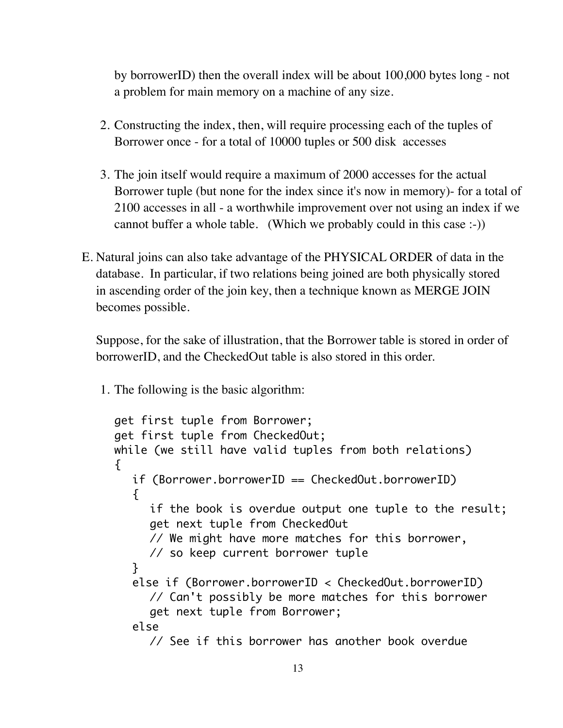by borrowerID) then the overall index will be about 100,000 bytes long - not a problem for main memory on a machine of any size.

- 2. Constructing the index, then, will require processing each of the tuples of Borrower once - for a total of 10000 tuples or 500 disk accesses
- 3. The join itself would require a maximum of 2000 accesses for the actual Borrower tuple (but none for the index since it's now in memory)- for a total of 2100 accesses in all - a worthwhile improvement over not using an index if we cannot buffer a whole table. (Which we probably could in this case :-))
- E. Natural joins can also take advantage of the PHYSICAL ORDER of data in the database. In particular, if two relations being joined are both physically stored in ascending order of the join key, then a technique known as MERGE JOIN becomes possible.

Suppose, for the sake of illustration, that the Borrower table is stored in order of borrowerID, and the CheckedOut table is also stored in this order.

1. The following is the basic algorithm:

```
get first tuple from Borrower;
get first tuple from CheckedOut;
while (we still have valid tuples from both relations)
\{if (Borrower.borrowerID == CheckedOut.borrowerID)
  \{if the book is overdue output one tuple to the result;
     get next tuple from CheckedOut
     // We might have more matches for this borrower,
     // so keep current borrower tuple
  }
  else if (Borrower.borrowerID < CheckedOut.borrowerID)
     // Can't possibly be more matches for this borrower
     get next tuple from Borrower;
  else
     // See if this borrower has another book overdue
```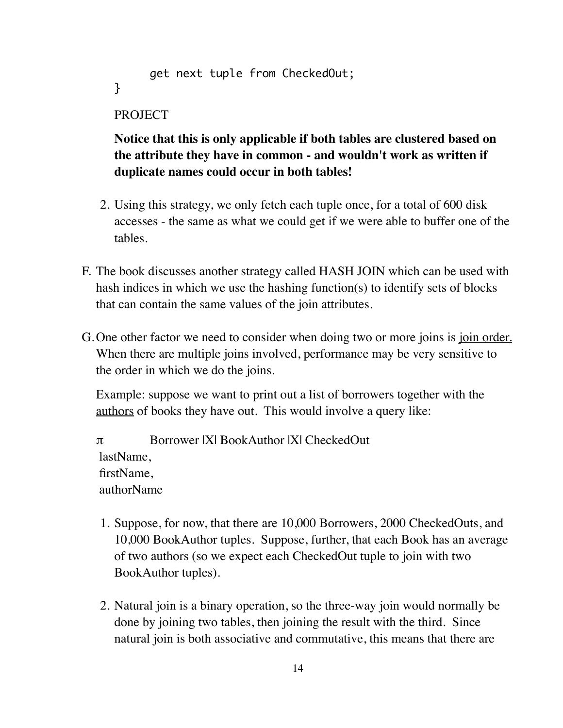```
get next tuple from CheckedOut;
}
```
#### PROJECT

## **Notice that this is only applicable if both tables are clustered based on the attribute they have in common - and wouldn't work as written if duplicate names could occur in both tables!**

- 2. Using this strategy, we only fetch each tuple once, for a total of 600 disk accesses - the same as what we could get if we were able to buffer one of the tables.
- F. The book discusses another strategy called HASH JOIN which can be used with hash indices in which we use the hashing function(s) to identify sets of blocks that can contain the same values of the join attributes.
- G. One other factor we need to consider when doing two or more joins is join order. When there are multiple joins involved, performance may be very sensitive to the order in which we do the joins.

Example: suppose we want to print out a list of borrowers together with the authors of books they have out. This would involve a query like:

π Borrower |X| BookAuthor |X| CheckedOut lastName, firstName, authorName

- 1. Suppose, for now, that there are 10,000 Borrowers, 2000 CheckedOuts, and 10,000 BookAuthor tuples. Suppose, further, that each Book has an average of two authors (so we expect each CheckedOut tuple to join with two BookAuthor tuples).
- 2. Natural join is a binary operation, so the three-way join would normally be done by joining two tables, then joining the result with the third. Since natural join is both associative and commutative, this means that there are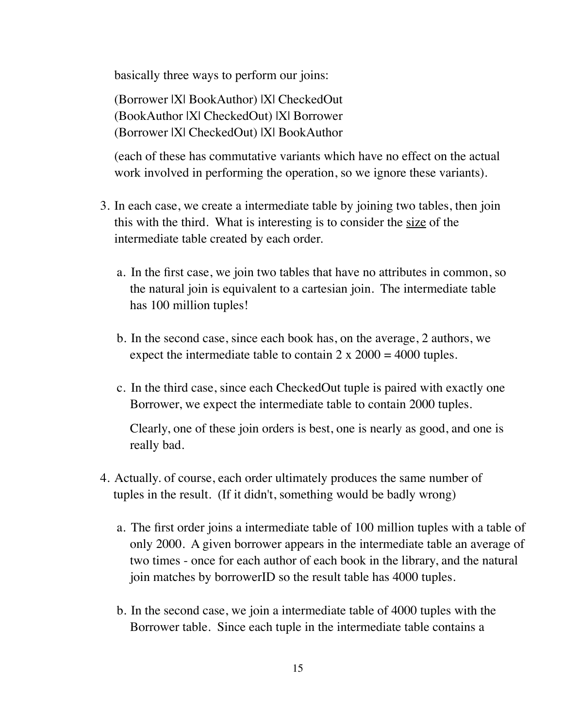basically three ways to perform our joins:

(Borrower |X| BookAuthor) |X| CheckedOut (BookAuthor |X| CheckedOut) |X| Borrower (Borrower |X| CheckedOut) |X| BookAuthor

(each of these has commutative variants which have no effect on the actual work involved in performing the operation, so we ignore these variants).

- 3. In each case, we create a intermediate table by joining two tables, then join this with the third. What is interesting is to consider the size of the intermediate table created by each order.
	- a. In the first case, we join two tables that have no attributes in common, so the natural join is equivalent to a cartesian join. The intermediate table has 100 million tuples!
	- b. In the second case, since each book has, on the average, 2 authors, we expect the intermediate table to contain  $2 \times 2000 = 4000$  tuples.
	- c. In the third case, since each CheckedOut tuple is paired with exactly one Borrower, we expect the intermediate table to contain 2000 tuples.

Clearly, one of these join orders is best, one is nearly as good, and one is really bad.

- 4. Actually. of course, each order ultimately produces the same number of tuples in the result. (If it didn't, something would be badly wrong)
	- a. The first order joins a intermediate table of 100 million tuples with a table of only 2000. A given borrower appears in the intermediate table an average of two times - once for each author of each book in the library, and the natural join matches by borrowerID so the result table has 4000 tuples.
	- b. In the second case, we join a intermediate table of 4000 tuples with the Borrower table. Since each tuple in the intermediate table contains a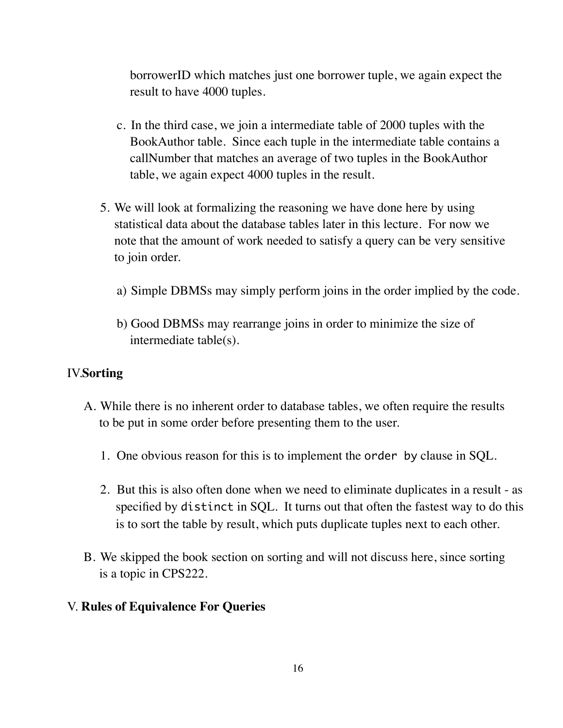borrowerID which matches just one borrower tuple, we again expect the result to have 4000 tuples.

- c. In the third case, we join a intermediate table of 2000 tuples with the BookAuthor table. Since each tuple in the intermediate table contains a callNumber that matches an average of two tuples in the BookAuthor table, we again expect 4000 tuples in the result.
- 5. We will look at formalizing the reasoning we have done here by using statistical data about the database tables later in this lecture. For now we note that the amount of work needed to satisfy a query can be very sensitive to join order.
	- a) Simple DBMSs may simply perform joins in the order implied by the code.
	- b) Good DBMSs may rearrange joins in order to minimize the size of intermediate table(s).

#### IV.**Sorting**

- A. While there is no inherent order to database tables, we often require the results to be put in some order before presenting them to the user.
	- 1. One obvious reason for this is to implement the order by clause in SQL.
	- 2. But this is also often done when we need to eliminate duplicates in a result as specified by distinct in SQL. It turns out that often the fastest way to do this is to sort the table by result, which puts duplicate tuples next to each other.
- B. We skipped the book section on sorting and will not discuss here, since sorting is a topic in CPS222.
- V. **Rules of Equivalence For Queries**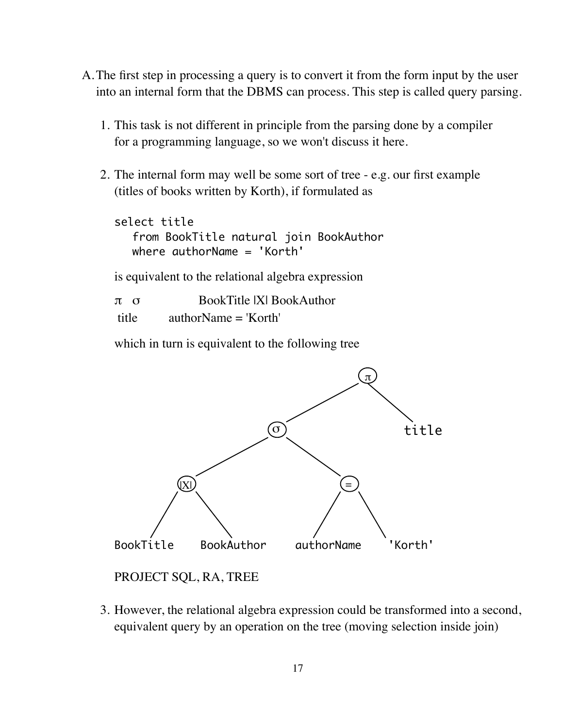- A.The first step in processing a query is to convert it from the form input by the user into an internal form that the DBMS can process. This step is called query parsing.
	- 1. This task is not different in principle from the parsing done by a compiler for a programming language, so we won't discuss it here.
	- 2. The internal form may well be some sort of tree e.g. our first example (titles of books written by Korth), if formulated as

select title from BookTitle natural join BookAuthor where authorName = 'Korth'

is equivalent to the relational algebra expression

| $\pi$ $\sigma$ | BookTitle IXI BookAuthor |
|----------------|--------------------------|
| title          | $authorName = 'Korth'$   |

which in turn is equivalent to the following tree



PROJECT SQL, RA, TREE

3. However, the relational algebra expression could be transformed into a second, equivalent query by an operation on the tree (moving selection inside join)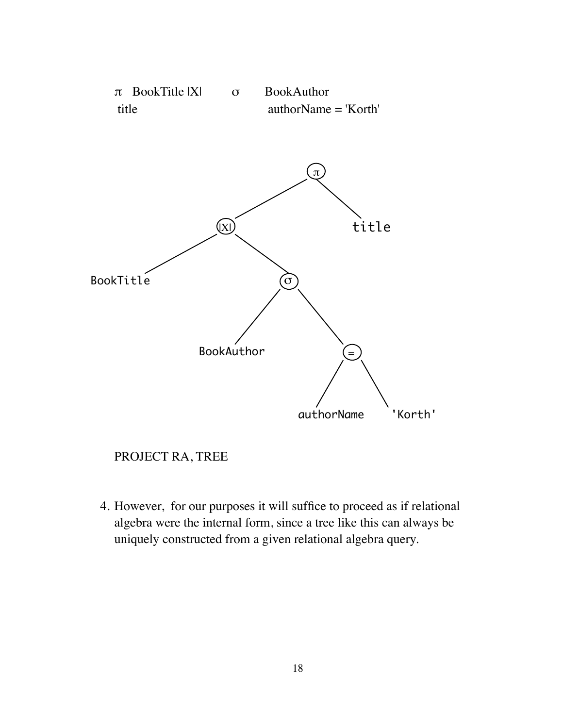

### PROJECT RA, TREE

4. However, for our purposes it will suffice to proceed as if relational algebra were the internal form, since a tree like this can always be uniquely constructed from a given relational algebra query.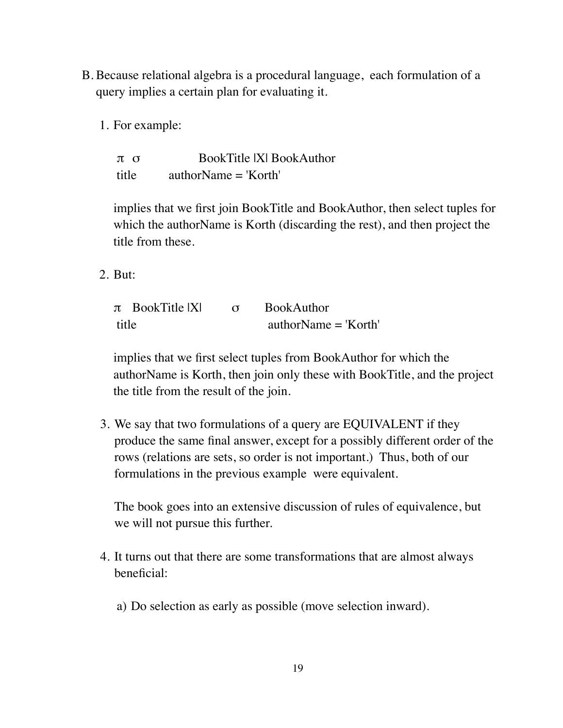- B. Because relational algebra is a procedural language, each formulation of a query implies a certain plan for evaluating it.
	- 1. For example:

π σ BookTitle |X| BookAuthor title authorName = 'Korth'

implies that we first join BookTitle and BookAuthor, then select tuples for which the authorName is Korth (discarding the rest), and then project the title from these.

2. But:

| $\pi$ BookTitle $ X $ | <b>BookAuthor</b>      |
|-----------------------|------------------------|
| title                 | $authorName = 'Korth'$ |

implies that we first select tuples from BookAuthor for which the authorName is Korth, then join only these with BookTitle, and the project the title from the result of the join.

3. We say that two formulations of a query are EQUIVALENT if they produce the same final answer, except for a possibly different order of the rows (relations are sets, so order is not important.) Thus, both of our formulations in the previous example were equivalent.

The book goes into an extensive discussion of rules of equivalence, but we will not pursue this further.

- 4. It turns out that there are some transformations that are almost always beneficial:
	- a) Do selection as early as possible (move selection inward).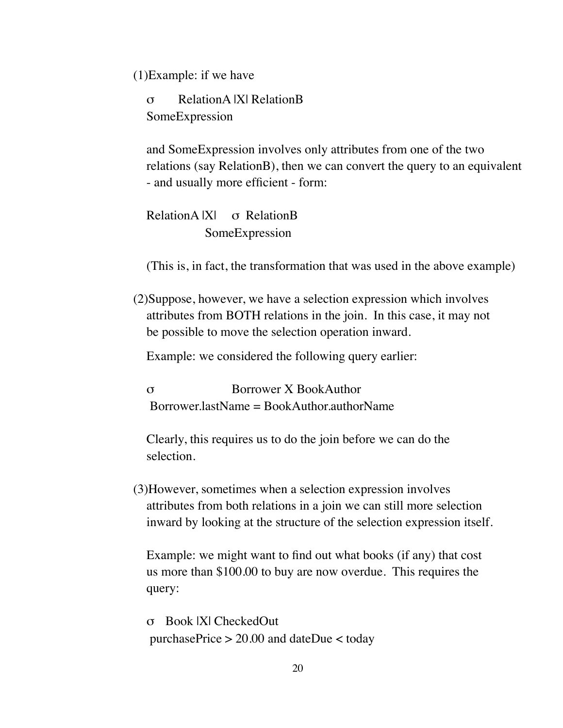(1)Example: if we have

σ RelationA |X| RelationB SomeExpression

and SomeExpression involves only attributes from one of the two relations (say RelationB), then we can convert the query to an equivalent - and usually more efficient - form:

RelationA |X| σ RelationB SomeExpression

(This is, in fact, the transformation that was used in the above example)

(2)Suppose, however, we have a selection expression which involves attributes from BOTH relations in the join. In this case, it may not be possible to move the selection operation inward.

Example: we considered the following query earlier:

σ Borrower X BookAuthor  $Borrower lastName = BookAuthor.authorName$ 

Clearly, this requires us to do the join before we can do the selection.

(3)However, sometimes when a selection expression involves attributes from both relations in a join we can still more selection inward by looking at the structure of the selection expression itself.

Example: we might want to find out what books (if any) that cost us more than \$100.00 to buy are now overdue. This requires the query:

σ Book |X| CheckedOut purchasePrice > 20.00 and dateDue < today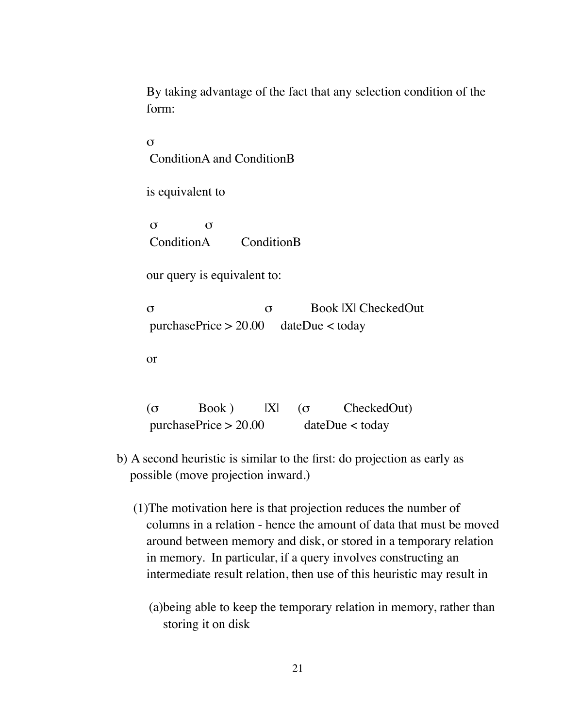By taking advantage of the fact that any selection condition of the form:

σ ConditionA and ConditionB

is equivalent to

σ σ ConditionA ConditionB

our query is equivalent to:

σ σ Book |X| CheckedOut purchasePrice > 20.00 dateDue < today

or

(σ  $Book$ )  $|X|$  (σ  $CheckedOut)$ purchasePrice > 20.00 dateDue < today

- b) A second heuristic is similar to the first: do projection as early as possible (move projection inward.)
	- (1)The motivation here is that projection reduces the number of columns in a relation - hence the amount of data that must be moved around between memory and disk, or stored in a temporary relation in memory. In particular, if a query involves constructing an intermediate result relation, then use of this heuristic may result in
		- (a)being able to keep the temporary relation in memory, rather than storing it on disk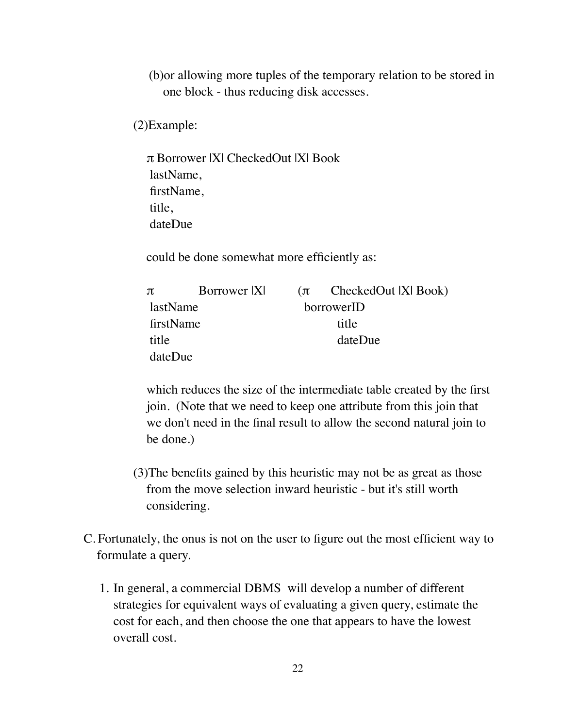(b)or allowing more tuples of the temporary relation to be stored in one block - thus reducing disk accesses.

(2)Example:

π Borrower |X| CheckedOut |X| Book lastName, firstName, title, dateDue

could be done somewhat more efficiently as:

| $\pi$     | Borrower  X |            | $(\pi$ CheckedOut IXI Book) |  |
|-----------|-------------|------------|-----------------------------|--|
| lastName  |             | borrowerID |                             |  |
| firstName |             | title      |                             |  |
| title     |             | dateDue    |                             |  |
| dateDue   |             |            |                             |  |

which reduces the size of the intermediate table created by the first join. (Note that we need to keep one attribute from this join that we don't need in the final result to allow the second natural join to be done.)

- (3)The benefits gained by this heuristic may not be as great as those from the move selection inward heuristic - but it's still worth considering.
- C. Fortunately, the onus is not on the user to figure out the most efficient way to formulate a query.
	- 1. In general, a commercial DBMS will develop a number of different strategies for equivalent ways of evaluating a given query, estimate the cost for each, and then choose the one that appears to have the lowest overall cost.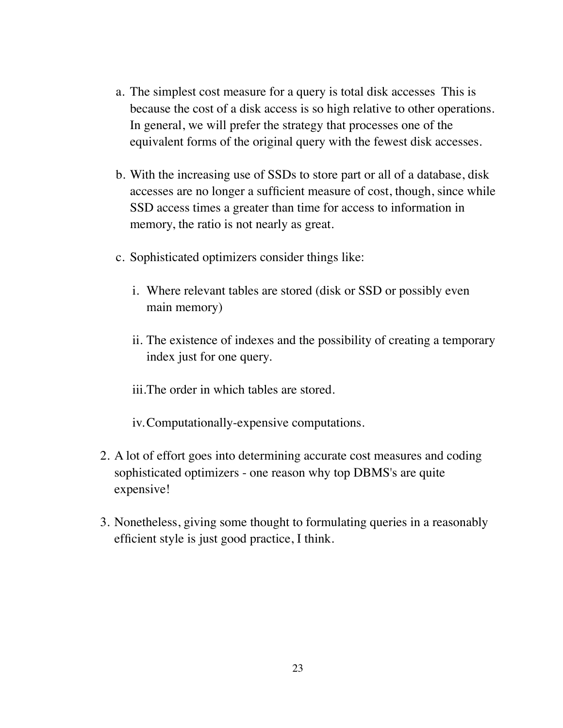- a. The simplest cost measure for a query is total disk accesses This is because the cost of a disk access is so high relative to other operations. In general, we will prefer the strategy that processes one of the equivalent forms of the original query with the fewest disk accesses.
- b. With the increasing use of SSDs to store part or all of a database, disk accesses are no longer a sufficient measure of cost, though, since while SSD access times a greater than time for access to information in memory, the ratio is not nearly as great.
- c. Sophisticated optimizers consider things like:
	- i. Where relevant tables are stored (disk or SSD or possibly even main memory)
	- ii. The existence of indexes and the possibility of creating a temporary index just for one query.
	- iii.The order in which tables are stored.

iv.Computationally-expensive computations.

- 2. A lot of effort goes into determining accurate cost measures and coding sophisticated optimizers - one reason why top DBMS's are quite expensive!
- 3. Nonetheless, giving some thought to formulating queries in a reasonably efficient style is just good practice, I think.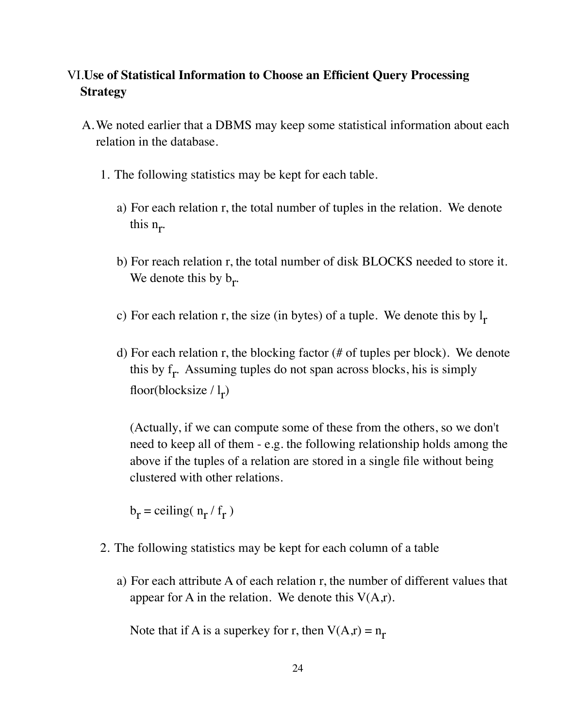## VI.**Use of Statistical Information to Choose an Efficient Query Processing Strategy**

- A.We noted earlier that a DBMS may keep some statistical information about each relation in the database.
	- 1. The following statistics may be kept for each table.
		- a) For each relation r, the total number of tuples in the relation. We denote this  $n_r$ .
		- b) For reach relation r, the total number of disk BLOCKS needed to store it. We denote this by  $b_r$ .
		- c) For each relation r, the size (in bytes) of a tuple. We denote this by  $l_r$
		- d) For each relation r, the blocking factor (# of tuples per block). We denote this by  $f_r$ . Assuming tuples do not span across blocks, his is simply floor(blocksize  $\frac{1}{r}$ )

(Actually, if we can compute some of these from the others, so we don't need to keep all of them - e.g. the following relationship holds among the above if the tuples of a relation are stored in a single file without being clustered with other relations.

 $b_r$  = ceiling(  $n_r / f_r$ )

- 2. The following statistics may be kept for each column of a table
	- a) For each attribute A of each relation r, the number of different values that appear for A in the relation. We denote this  $V(A,r)$ .

Note that if A is a superkey for r, then  $V(A,r) = n_r$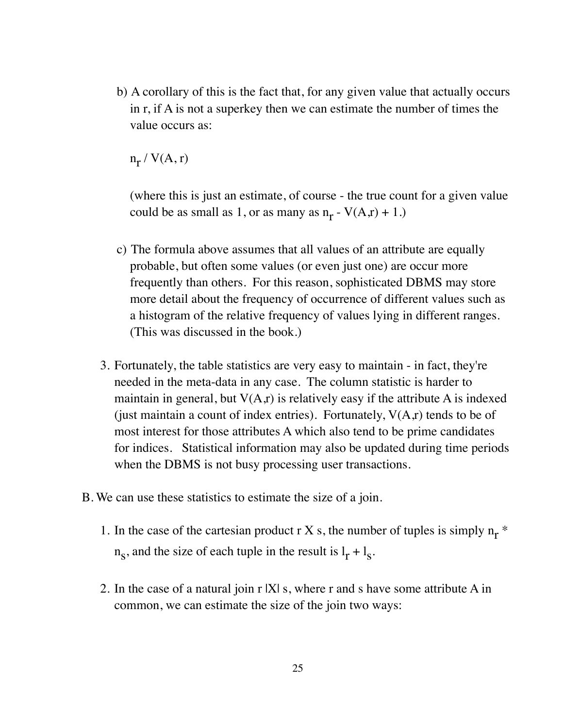b) A corollary of this is the fact that, for any given value that actually occurs in r, if A is not a superkey then we can estimate the number of times the value occurs as:

 $n_r / V(A, r)$ 

(where this is just an estimate, of course - the true count for a given value could be as small as 1, or as many as  $n_r$  -  $V(A,r) + 1$ .)

- c) The formula above assumes that all values of an attribute are equally probable, but often some values (or even just one) are occur more frequently than others. For this reason, sophisticated DBMS may store more detail about the frequency of occurrence of different values such as a histogram of the relative frequency of values lying in different ranges. (This was discussed in the book.)
- 3. Fortunately, the table statistics are very easy to maintain in fact, they're needed in the meta-data in any case. The column statistic is harder to maintain in general, but  $V(A,r)$  is relatively easy if the attribute A is indexed (just maintain a count of index entries). Fortunately,  $V(A,r)$  tends to be of most interest for those attributes A which also tend to be prime candidates for indices. Statistical information may also be updated during time periods when the DBMS is not busy processing user transactions.
- B. We can use these statistics to estimate the size of a join.
	- 1. In the case of the cartesian product r X s, the number of tuples is simply  $n_r$ <sup>\*</sup>  $n_s$ , and the size of each tuple in the result is  $l_r + l_s$ .
	- 2. In the case of a natural join r |X| s, where r and s have some attribute A in common, we can estimate the size of the join two ways: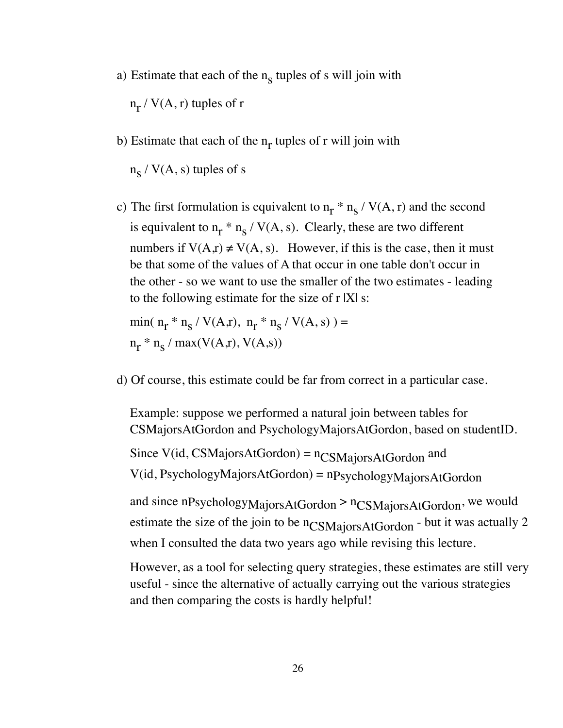a) Estimate that each of the  $n_s$  tuples of s will join with

 $n_r$  / V(A, r) tuples of r

b) Estimate that each of the  $n_r$  tuples of r will join with

 $n_S / V(A, s)$  tuples of s

c) The first formulation is equivalent to  $n_r * n_s / V(A, r)$  and the second is equivalent to  $n_r * n_s / V(A, s)$ . Clearly, these are two different numbers if  $V(A,r) \neq V(A,s)$ . However, if this is the case, then it must be that some of the values of A that occur in one table don't occur in the other - so we want to use the smaller of the two estimates - leading to the following estimate for the size of  $r$   $|X|$  s:

 $\min(n_r * n_s / V(A,r), n_r * n_s / V(A,s)) =$  $n_r * n_s / max(V(A,r), V(A,s))$ 

d) Of course, this estimate could be far from correct in a particular case.

Example: suppose we performed a natural join between tables for CSMajorsAtGordon and PsychologyMajorsAtGordon, based on studentID.

Since V(id, CSMajorsAtGordon) =  $n_{CSMaiorsAtGordon}$  and V(id, PsychologyMajorsAtGordon) = nPsychologyMajorsAtGordon

and since nPsychologyMajorsAtGordon > nCSMajorsAtGordon, we would estimate the size of the join to be n<sub>CSMajorsAtGordon</sub> - but it was actually 2 when I consulted the data two years ago while revising this lecture.

However, as a tool for selecting query strategies, these estimates are still very useful - since the alternative of actually carrying out the various strategies and then comparing the costs is hardly helpful!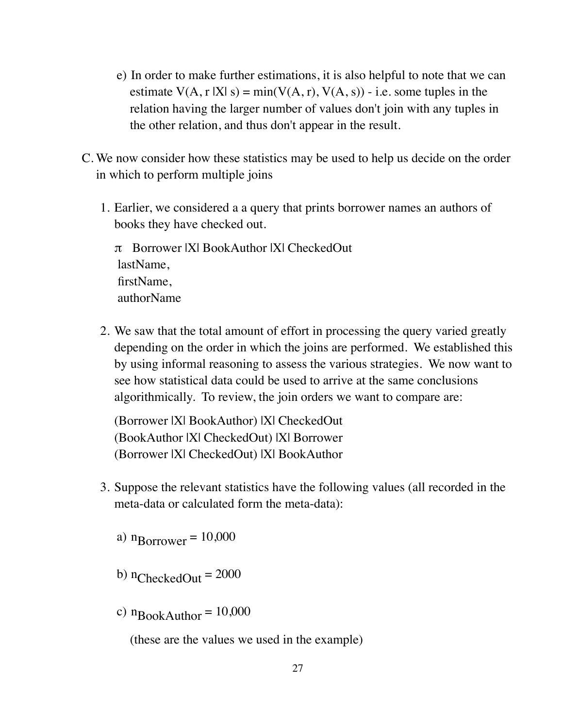- e) In order to make further estimations, it is also helpful to note that we can estimate  $V(A, r | X | s) = min(V(A, r), V(A, s)) - i.e.$  some tuples in the relation having the larger number of values don't join with any tuples in the other relation, and thus don't appear in the result.
- C. We now consider how these statistics may be used to help us decide on the order in which to perform multiple joins
	- 1. Earlier, we considered a a query that prints borrower names an authors of books they have checked out.

π Borrower |X| BookAuthor |X| CheckedOut lastName, firstName, authorName

2. We saw that the total amount of effort in processing the query varied greatly depending on the order in which the joins are performed. We established this by using informal reasoning to assess the various strategies. We now want to see how statistical data could be used to arrive at the same conclusions algorithmically. To review, the join orders we want to compare are:

(Borrower |X| BookAuthor) |X| CheckedOut (BookAuthor |X| CheckedOut) |X| Borrower (Borrower |X| CheckedOut) |X| BookAuthor

- 3. Suppose the relevant statistics have the following values (all recorded in the meta-data or calculated form the meta-data):
	- a)  $n_{\text{Borrower}} = 10,000$
	- b)  $n_{\text{CheckedOut}} = 2000$
	- c)  $n_{\text{BookAuthor}} = 10,000$

(these are the values we used in the example)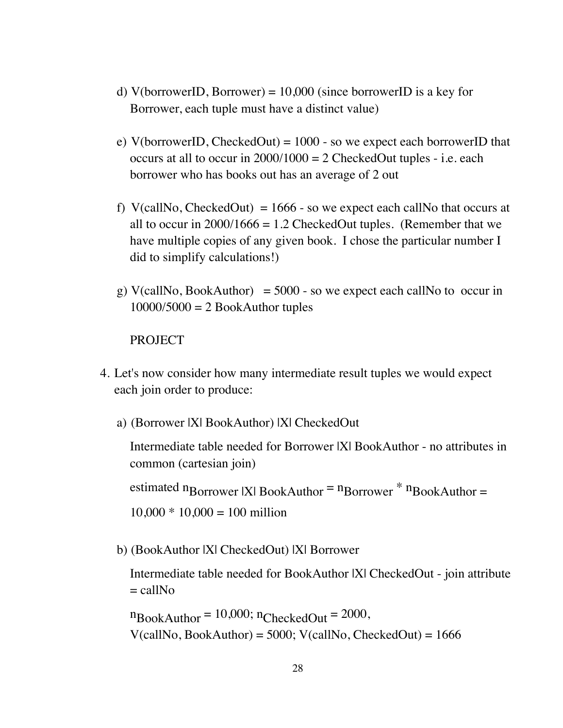- d) V(borrowerID, Borrower) =  $10,000$  (since borrowerID is a key for Borrower, each tuple must have a distinct value)
- e) V(borrowerID, CheckedOut) =  $1000$  so we expect each borrowerID that occurs at all to occur in  $2000/1000 = 2$  CheckedOut tuples - i.e. each borrower who has books out has an average of 2 out
- f) V(callNo, CheckedOut) =  $1666$  so we expect each callNo that occurs at all to occur in  $2000/1666 = 1.2$  CheckedOut tuples. (Remember that we have multiple copies of any given book. I chose the particular number I did to simplify calculations!)
- g) V(callNo, BookAuthor) =  $5000$  so we expect each callNo to occur in  $10000/5000 = 2$  BookAuthor tuples

#### **PROJECT**

- 4. Let's now consider how many intermediate result tuples we would expect each join order to produce:
	- a) (Borrower |X| BookAuthor) |X| CheckedOut

Intermediate table needed for Borrower |X| BookAuthor - no attributes in common (cartesian join)

estimated n<sub>Borrower</sub> |X| BookAuthor =  $n_{\text{Borrower}}$  \*  $n_{\text{BookAuthor}} =$  $10,000 * 10,000 = 100$  million

b) (BookAuthor |X| CheckedOut) |X| Borrower

Intermediate table needed for BookAuthor |X| CheckedOut - join attribute  $=$  callNo

 $n_{\text{BookAuthor}} = 10,000; n_{\text{CheckedOut}} = 2000,$  $V(callNo, BookAuthor) = 5000; V(callNo, CheckedOut) = 1666$